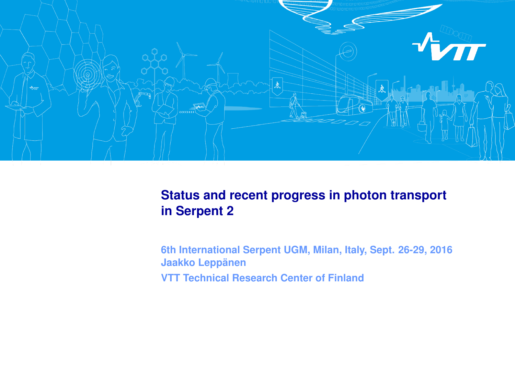

### **Status and recent progress in photon transport in Serpent 2**

**6th International Serpent UGM, Milan, Italy, Sept. 26-29, 2016 Jaakko Leppänen VTT Technical Research Center of Finland**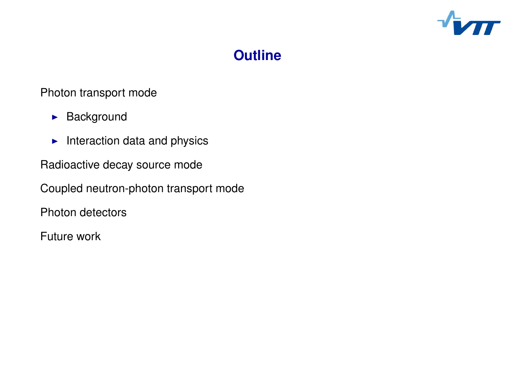

#### **Click to edit Massex Styles Styles Styles Styles Styles Styles Styles Styles Styles Styles Styles Styles Style Outline**

### Photon transport mode

- $\blacktriangleright$  Background
	- $\blacktriangleright$  Interaction data and physics
- Radioactive decay source mode
- Coupled neutron-photon transport mode
- Photon detectors
- Future work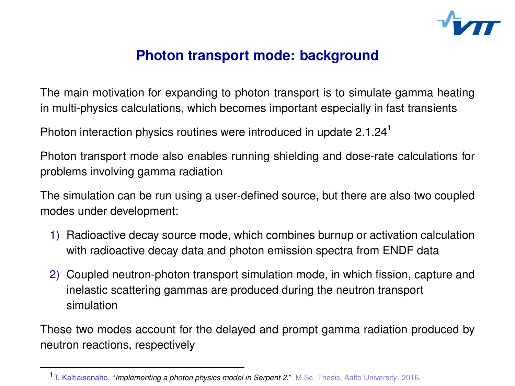

### **Click to edit Master title style Photon transport mode: background**

The main motivation for expanding to photon transport is to simulate gamma heating in multi-physics calculations, which becomes important especially in fast transients

 Click to edit Master text styles Photon interaction physics routines were introduced in update  $2.1.24<sup>1</sup>$ 

Photon transport mode also enables running shielding and dose-rate calculations for problems involving gamma radiation

The simulation can be run using a user-defined source, but there are also two coupled modes under development:

- 1) Radioactive decay source mode, which combines burnup or activation calculation with radioactive decay data and photon emission spectra from ENDF data
- 2) Coupled neutron-photon transport simulation mode, in which fission, capture and inelastic scattering gammas are produced during the neutron transport simulation

These two modes account for the delayed and prompt gamma radiation produced by neutron reactions, respectively

<sup>1</sup> T. Kaltiaisenaho. "*Implementing a photon physics model in Serpent 2.*" M.Sc. Thesis, Aalto University. 2016.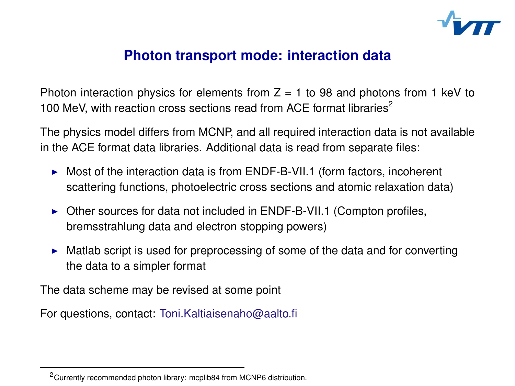

### **Click to edit Master title style Photon transport mode: interaction data**

Photon interaction physics for elements from  $Z = 1$  to 98 and photons from 1 keV to 100 MeV, with reaction cross sections read from ACE format libraries $^2$ 

The physics model differs from MCNP, and all required interaction data is not available In the ACE format data libraries. Additional data is read from separate files:

- $\blacktriangleright$  Most of the interaction data is from ENDF-B-VII.1 (form factors, incoherent scattering functions, photoelectric cross sections and atomic relaxation data)
- $\triangleright$  Other sources for data not included in ENDF-B-VII.1 (Compton profiles, bremsstrahlung data and electron stopping powers)
- $\blacktriangleright$  Matlab script is used for preprocessing of some of the data and for converting the data to a simpler format

The data scheme may be revised at some point

For questions, contact: <Toni.Kaltiaisenaho@aalto.fi>

<sup>2</sup>Currently recommended photon library: mcplib84 from MCNP6 distribution.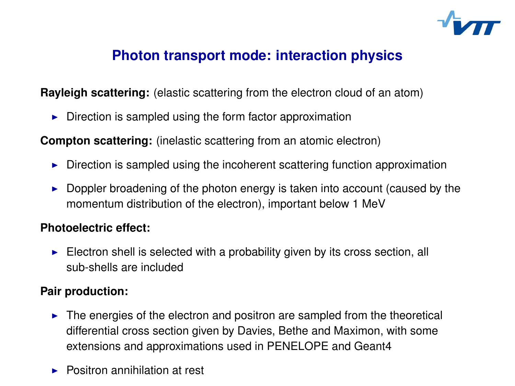

## **Photon transport mode: interaction physics**

**Rayleigh scattering:** (elastic scattering from the electron cloud of an atom)

 $\blacktriangleright$  Direction is sampled using the form factor approximation

**Compton scattering:** (inelastic scattering from an atomic electron)

- $\blacktriangleright$  Direction is sampled using the incoherent scattering function approximation
- $\blacktriangleright$  Doppler broadening of the photon energy is taken into account (caused by the momentum distribution of the electron), important below 1 MeV

#### **Photoelectric effect:**

 $\blacktriangleright$  Electron shell is selected with a probability given by its cross section, all sub-shells are included

#### **Pair production:**

- $\blacktriangleright$  The energies of the electron and positron are sampled from the theoretical differential cross section given by Davies, Bethe and Maximon, with some extensions and approximations used in PENELOPE and Geant4
- $\blacktriangleright$  Positron annihilation at rest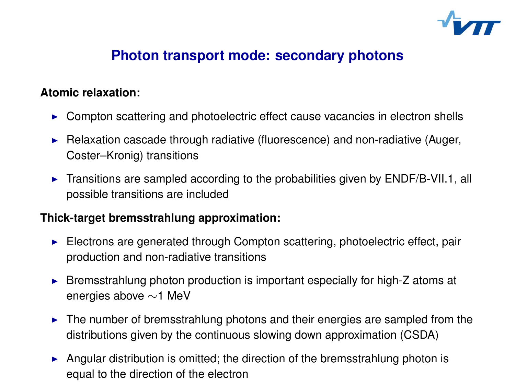

## **Click to edit Master title style Photon transport mode: secondary photons**

#### **Atomic relaxation:**

- $\blacktriangleright$  Compton scattering and photoelectric effect cause vacancies in electron shells
	- Relaxation cascade through radiative (fluorescence) and non-radiative (Auger, Coster–Kronig) transitions
	- $\blacktriangleright$  Transitions are sampled according to the probabilities given by ENDF/B-VII.1, all possible transitions are included

#### **Thick-target bremsstrahlung approximation:**

- $\blacktriangleright$  Electrons are generated through Compton scattering, photoelectric effect, pair production and non-radiative transitions
- $\triangleright$  Bremsstrahlung photon production is important especially for high-Z atoms at energies above ∼1 MeV
- $\blacktriangleright$  The number of bremsstrahlung photons and their energies are sampled from the distributions given by the continuous slowing down approximation (CSDA)
- Angular distribution is omitted; the direction of the bremsstrahlung photon is equal to the direction of the electron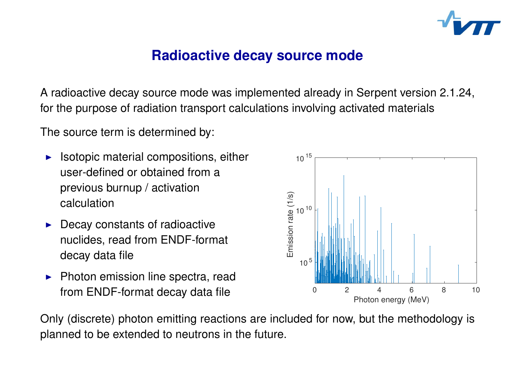

### **Radioactive decay source mode**

A radioactive decay source mode was implemented already in Serpent version 2.1.24, for the purpose of radiation transport calculations involving activated materials

 Click to edit Master text styles The source term is determined by:<br>

- $\blacktriangleright$  Isotopic material compositions, either user-defined or obtained from a previous burnup / activation calculation
- $\blacktriangleright$  Decay constants of radioactive nuclides, read from ENDF-format decay data file
- $\blacktriangleright$  Photon emission line spectra, read from ENDF-format decay data file

Only (discrete) photon emitting reactions are included for now, but the methodology is planned to be extended to neutrons in the future.

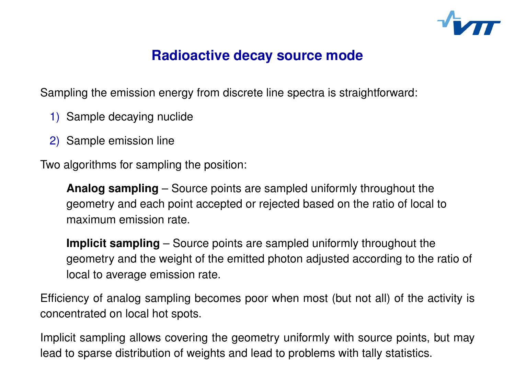

## **Radioactive decay source mode**

Sampling the emission energy from discrete line spectra is straightforward:

- 1) Sample decaying nuclide
	- 2) Sample emission line

Two algorithms for sampling the position:

**Analog sampling** – Source points are sampled uniformly throughout the geometry and each point accepted or rejected based on the ratio of local to maximum emission rate.

**Implicit sampling** – Source points are sampled uniformly throughout the geometry and the weight of the emitted photon adjusted according to the ratio of local to average emission rate.

Efficiency of analog sampling becomes poor when most (but not all) of the activity is concentrated on local hot spots.

Implicit sampling allows covering the geometry uniformly with source points, but may lead to sparse distribution of weights and lead to problems with tally statistics.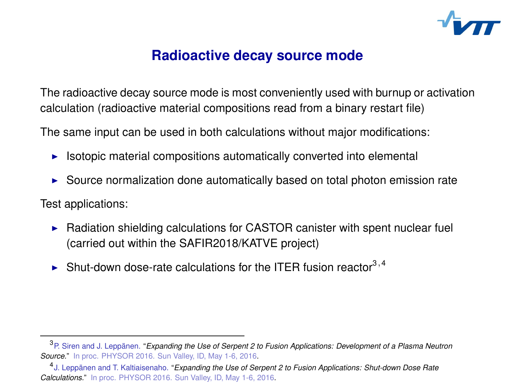

### **Radioactive decay source mode**

The radioactive decay source mode is most conveniently used with burnup or activation calculation (radioactive material compositions read from a binary restart file)

 Click to edit Master text styles The same input can be used in both calculations without major modifications:<br>.

- $\blacktriangleright$  Isotopic material compositions automatically converted into elemental
- Source normalization done automatically based on total photon emission rate

Test applications:

- $\blacktriangleright$  Radiation shielding calculations for CASTOR canister with spent nuclear fuel (carried out within the SAFIR2018/KATVE project)
- $\blacktriangleright$  Shut-down dose-rate calculations for the ITER fusion reactor<sup>3,4</sup>

<sup>3</sup>P. Siren and J. Leppänen. "*Expanding the Use of Serpent 2 to Fusion Applications: Development of a Plasma Neutron Source.*" In proc. PHYSOR 2016. Sun Valley, ID, May 1-6, 2016.

<sup>4</sup> J. Leppänen and T. Kaltiaisenaho. "*Expanding the Use of Serpent 2 to Fusion Applications: Shut-down Dose Rate Calculations.*" In proc. PHYSOR 2016. Sun Valley, ID, May 1-6, 2016.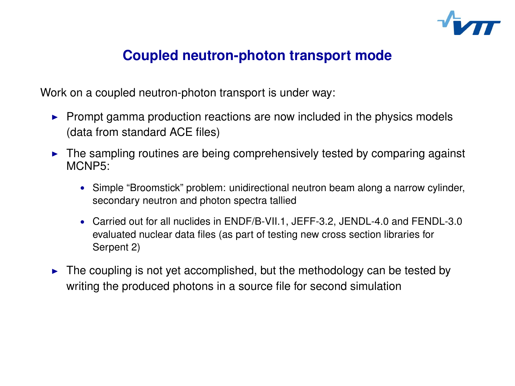

## **Coupled neutron-photon transport mode**

Work on a coupled neutron-photon transport is under way:

- **Prompt gamma production reactions are now included in the physics models** (data from standard ACE files)
	- ► The sampling routines are being comprehensively tested by comparing against<br>MCNP5: MCNP5:
		- Simple "Broomstick" problem: unidirectional neutron beam along a narrow cylinder, secondary neutron and photon spectra tallied
		- Carried out for all nuclides in ENDF/B-VII.1, JEFF-3.2, JENDL-4.0 and FENDL-3.0 evaluated nuclear data files (as part of testing new cross section libraries for Serpent 2)
	- $\triangleright$  The coupling is not yet accomplished, but the methodology can be tested by writing the produced photons in a source file for second simulation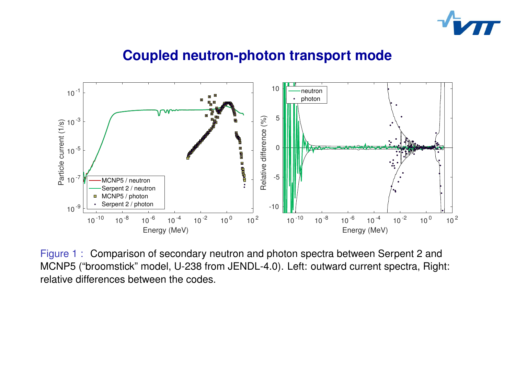





Figure 1 : Comparison of secondary neutron and photon spectra between Serpent 2 and MCNP5 ("broomstick" model, U-238 from JENDL-4.0). Left: outward current spectra, Right: relative differences between the codes.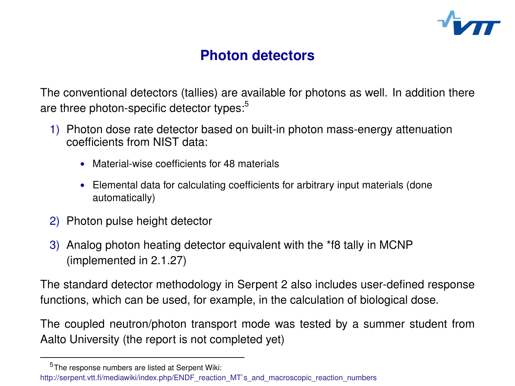

### **Click to edit Master the Photon detectors**

The conventional detectors (tallies) are available for photons as well. In addition there are three photon-specific detector types:<sup>5</sup>

- 1) Photon dose rate detector based on built-in photon mass-energy attenuation coefficients from NIST data:
	- Material-wise coefficients for 48 materials
	- Elemental data for calculating coefficients for arbitrary input materials (done Elomonial data lor de<br>automatically)
	- 2) Photon pulse height detector
	- 3) Analog photon heating detector equivalent with the \*f8 tally in MCNP (implemented in 2.1.27)

The standard detector methodology in Serpent 2 also includes user-defined response functions, which can be used, for example, in the calculation of biological dose.

The coupled neutron/photon transport mode was tested by a summer student from Aalto University (the report is not completed yet)

<sup>5</sup> The response numbers are listed at Serpent Wiki:

[http://serpent.vtt.fi/mediawiki/index.php/ENDF\\_reaction\\_MT's\\_and\\_macroscopic\\_reaction\\_numbers](http://serpent.vtt.fi/mediawiki/index.php/ENDF_reaction_MT)